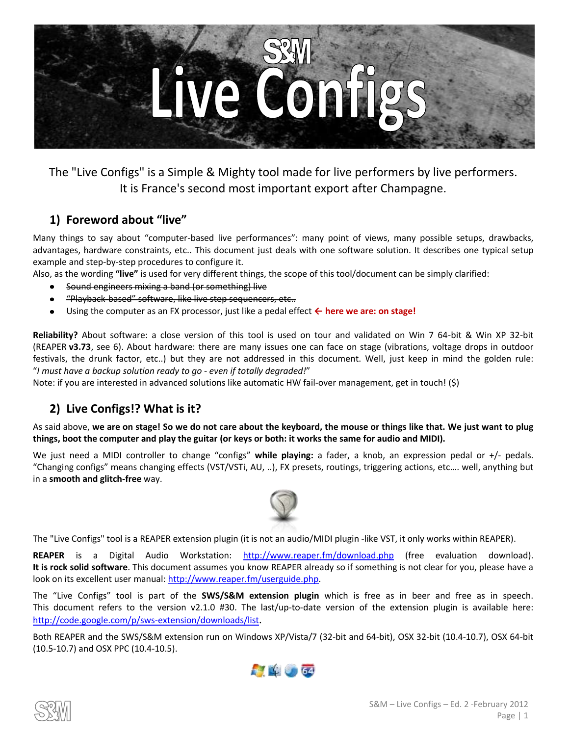

The "Live Configs" is a Simple & Mighty tool made for live performers by live performers. It is France's second most important export after Champagne.

### **1) Foreword about "live"**

Many things to say about "computer-based live performances": many point of views, many possible setups, drawbacks, advantages, hardware constraints, etc.. This document just deals with one software solution. It describes one typical setup example and step-by-step procedures to configure it.

Also, as the wording **"live"** is used for very different things, the scope of this tool/document can be simply clarified:

- Sound engineers mixing a band (or something) live
- "Playback-based" software, like live step sequencers, etc..
- Using the computer as an FX processor, just like a pedal effect **← here we are: on stage!**

**Reliability?** About software: a close version of this tool is used on tour and validated on Win 7 64-bit & Win XP 32-bit (REAPER **v3.73**, see [6\).](#page-5-0) About hardware: there are many issues one can face on stage (vibrations, voltage drops in outdoor festivals, the drunk factor, etc..) but they are not addressed in this document. Well, just keep in mind the golden rule: "*I must have a backup solution ready to go - even if totally degraded!*"

Note: if you are interested in advanced solutions like automatic HW fail-over management, get in touch! (\$)

### **2) Live Configs!? What is it?**

As said above, **we are on stage! So we do not care about the keyboard, the mouse or things like that. We just want to plug things, boot the computer and play the guitar (or keys or both: it works the same for audio and MIDI).**

We just need a MIDI controller to change "configs" **while playing:** a fader, a knob, an expression pedal or +/- pedals. "Changing configs" means changing effects (VST/VSTi, AU, ..), FX presets, routings, triggering actions, etc…. well, anything but in a **smooth and glitch-free** way.



The "Live Configs" tool is a REAPER extension plugin (it is not an audio/MIDI plugin -like VST, it only works within REAPER).

**REAPER** is a Digital Audio Workstation: <http://www.reaper.fm/download.php> (free evaluation download). **It is rock solid software**. This document assumes you know REAPER already so if something is not clear for you, please have a look on its excellent user manual: [http://www.reaper.fm/userguide.php.](http://www.reaper.fm/userguide.php)

The "Live Configs" tool is part of the **SWS/S&M extension plugin** which is free as in beer and free as in speech. This document refers to the version v2.1.0 #30. The last/up-to-date version of the extension plugin is available here: <http://code.google.com/p/sws-extension/downloads/list>.

Both REAPER and the SWS/S&M extension run on Windows XP/Vista/7 (32-bit and 64-bit), OSX 32-bit (10.4-10.7), OSX 64-bit (10.5-10.7) and OSX PPC (10.4-10.5).



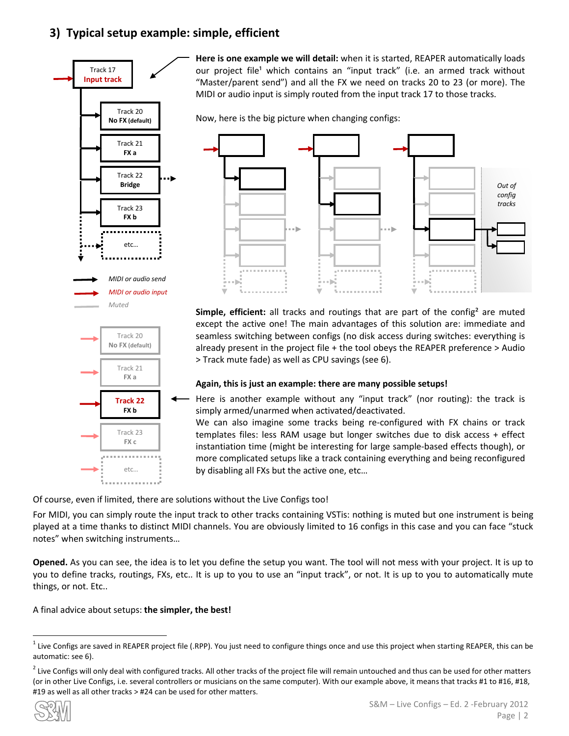### <span id="page-1-0"></span>**3) Typical setup example: simple, efficient**





**Here is one example we will detail:** when it is started, REAPER automatically loads our project file<sup>1</sup> which contains an "input track" (i.e. an armed track without "Master/parent send") and all the FX we need on tracks 20 to 23 (or more). The MIDI or audio input is simply routed from the input track 17 to those tracks.

Now, here is the big picture when changing configs:



**Simple, efficient:** all tracks and routings that are part of the config<sup>2</sup> are muted except the active one! The main advantages of this solution are: immediate and seamless switching between configs (no disk access during switches: everything is already present in the project file + the tool obeys the REAPER preference > Audio > Track mute fade) as well as CPU savings (se[e 6\).](#page-5-0)

### **Again, this is just an example: there are many possible setups!**

Here is another example without any "input track" (nor routing): the track is simply armed/unarmed when activated/deactivated.

We can also imagine some tracks being re-configured with FX chains or track templates files: less RAM usage but longer switches due to disk access + effect instantiation time (might be interesting for large sample-based effects though), or more complicated setups like a track containing everything and being reconfigured by disabling all FXs but the active one, etc…

Of course, even if limited, there are solutions without the Live Configs too!

For MIDI, you can simply route the input track to other tracks containing VSTis: nothing is muted but one instrument is being played at a time thanks to distinct MIDI channels. You are obviously limited to 16 configs in this case and you can face "stuck notes" when switching instruments…

**Opened.** As you can see, the idea is to let you define the setup you want. The tool will not mess with your project. It is up to you to define tracks, routings, FXs, etc.. It is up to you to use an "input track", or not. It is up to you to automatically mute things, or not. Etc..

### A final advice about setups: the simpler, the best!

 $^2$  Live Configs will only deal with configured tracks. All other tracks of the project file will remain untouched and thus can be used for other matters (or in other Live Configs, i.e. several controllers or musicians on the same computer). With our example above, it means that tracks #1 to #16, #18, #19 as well as all other tracks > #24 can be used for other matters.



 $\overline{a}$ 

<sup>&</sup>lt;sup>1</sup> Live Configs are saved in REAPER project file (.RPP). You just need to configure things once and use this project when starting REAPER, this can be automatic: se[e 6\).](#page-5-0)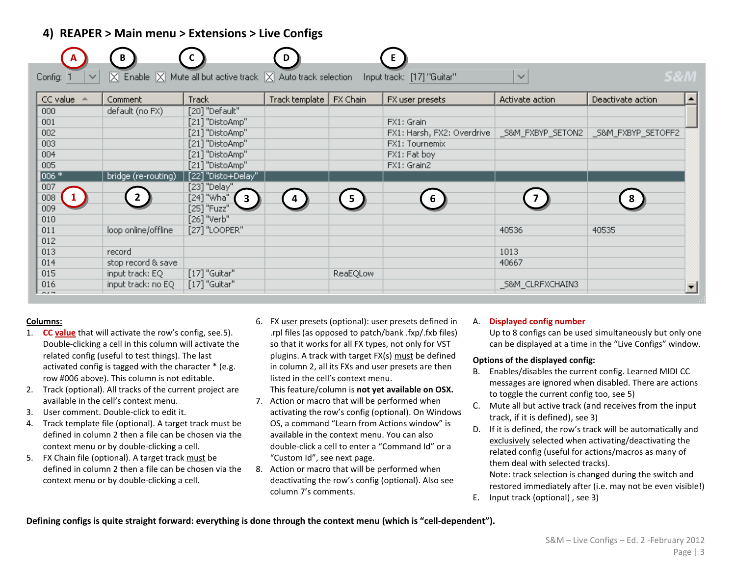### **4) REAPER > Main menu > Extensions > Live Configs**

|                         | B                   |                                                                                                                                     | D              |                | Е.                         |                  |                                        |                  |
|-------------------------|---------------------|-------------------------------------------------------------------------------------------------------------------------------------|----------------|----------------|----------------------------|------------------|----------------------------------------|------------------|
| Config:<br>$\checkmark$ |                     | $\boxed{\times}$ Enable $\boxed{\times}$ Mute all but active track $\boxed{\times}$ Auto track selection Input track: [17] "Guitar" |                |                |                            | $\checkmark$     | <b>S&amp;M</b>                         |                  |
| CC value                | Comment             | <b>Track</b>                                                                                                                        | Track template | FX Chain       | FX user presets            | Activate action  | Deactivate action                      | $\blacktriangle$ |
| 000                     | default (no FX)     | [20] "Default"                                                                                                                      |                |                |                            |                  |                                        |                  |
| 001                     |                     | [21] "DistoAmp"                                                                                                                     |                |                | FX1: Grain                 |                  |                                        |                  |
| 002                     |                     | [21] "DistoAmp"                                                                                                                     |                |                | FX1: Harsh, FX2: Overdrive |                  | _S&M_FXBYP_SETON2   _S&M_FXBYP_SETOFF2 |                  |
| 003                     |                     | [21] "DistoAmp"                                                                                                                     |                |                | FX1: Tournemix             |                  |                                        |                  |
| 004                     |                     | [21] "DistoAmp"                                                                                                                     |                |                | FX1: Fat boy               |                  |                                        |                  |
| 005                     |                     | [21] "DistoAmp"                                                                                                                     |                |                | FX1: Grain2                |                  |                                        |                  |
| $006*$                  | bridge (re-routing) | [22] "Disto+Delay"                                                                                                                  |                |                |                            |                  |                                        |                  |
| 007                     |                     | [23] "Delay"                                                                                                                        |                |                |                            |                  |                                        |                  |
| 008                     |                     | [24] "Wha"<br>$\mathbf{3}$                                                                                                          | 4              | 5 <sup>1</sup> | 6                          |                  |                                        |                  |
| 009                     |                     | [25] "Fuzz"                                                                                                                         |                |                |                            |                  |                                        |                  |
| 010                     |                     | [26] "Verb"                                                                                                                         |                |                |                            |                  |                                        |                  |
| 011                     | loop online/offline | [27] "LOOPER"                                                                                                                       |                |                |                            | 40536            | 40535                                  |                  |
| 012                     |                     |                                                                                                                                     |                |                |                            |                  |                                        |                  |
| 013                     | record              |                                                                                                                                     |                |                |                            | 1013             |                                        |                  |
| 014                     | stop record & save  |                                                                                                                                     |                |                |                            | 40667            |                                        |                  |
| 015                     | input track: EQ     | $[17]$ "Guitar"                                                                                                                     |                | ReaEQLow       |                            |                  |                                        |                  |
| 016                     | input track: no EQ  | $[17]$ "Guitar"                                                                                                                     |                |                |                            | _S&M_CLRFXCHAIN3 |                                        |                  |
| $\sim$ $-$              |                     |                                                                                                                                     |                |                |                            |                  |                                        |                  |

#### **Columns:**

- 1. **CC value** that will activate the row's config, see.[5\).](#page-4-0)  Double-clicking a cell in this column will activate the related config (useful to test things). The last activated config is tagged with the character \* (e.g. row #006 above). This column is not editable.
- 2. Track (optional). All tracks of the current project are available in the cell's context menu.
- 3. User comment. Double-click to edit it.
- 4. Track template file (optional). A target track must be defined in column 2 then a file can be chosen via the context menu or by double-clicking a cell.
- 5. FX Chain file (optional). A target track must be defined in column 2 then a file can be chosen via the context menu or by double-clicking a cell.
- 6. FX user presets (optional): user presets defined in .rpl files (as opposed to patch/bank .fxp/.fxb files) so that it works for all FX types, not only for VST plugins. A track with target FX(s) must be defined in column 2, all its FXs and user presets are then listed in the cell's context menu.
	- This feature/column is **not yet available on OSX.**
- 7. Action or macro that will be performed when activating the row's config (optional). On Windows OS, a command "Learn from Actions window" is available in the context menu. You can also double-click a cell to enter a "Command Id" or a "Custom Id", see next page.
- 8. Action or macro that will be performed when deactivating the row's config (optional). Also see column 7's comments.

#### A. **Displayed config number**

Up to 8 configs can be used simultaneously but only one can be displayed at a time in the "Live Configs" window.

#### **Options of the displayed config:**

- B. Enables/disables the current config. Learned MIDI CC messages are ignored when disabled. There are actions to toggle the current config too, see [5\)](#page-4-0)
- C. Mute all but active track (and receives from the input track, if it is defined), se[e 3\)](#page-1-0)
- D. If it is defined, the row's track will be automatically and exclusively selected when activating/deactivating the related config (useful for actions/macros as many of them deal with selected tracks). Note: track selection is changed during the switch and
	- restored immediately after (i.e. may not be even visible!)
- E. Input track (optional) , se[e 3\)](#page-1-0)

**Defining configs is quite straight forward: everything is done through the context menu (which is "cell-dependent").**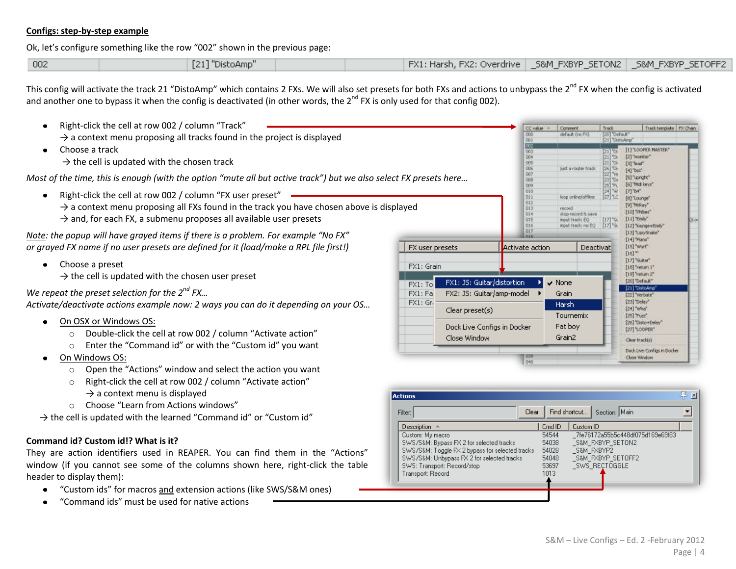#### **Configs: step-by-step example**

Ok, let's configure something like the row "002" shown in the previous page:

| [21] "DistoAmp"<br>  FX1: Harsh, FX2: Overdrive   _S&M_FXBYP_SETON2   _S&M_FXBYP_SETOFF2<br> 002 |
|--------------------------------------------------------------------------------------------------|
|--------------------------------------------------------------------------------------------------|

This config will activate the track 21 "DistoAmp" which contains 2 FXs. We will also set presets for both FXs and actions to unbypass the  $2^{nd}$  FX when the config is activated and another one to bypass it when the config is deactivated (in other words, the  $2^{nd}$  FX is only used for that config 002).

- Right-click the cell at row 002 / column "Track"  $\bullet$ CC value = Comment Track Track template | FX Chain 000 default (no FX) [20] 'Default'<br>[21] 'DefoArra'  $\rightarrow$  a context menu proposing all tracks found in the project is displayed  $001$ 园区 Choose a track [1] LOCPER MASTER\*  $\bullet$ 003 圖 004 [2] "monitor"  $\rightarrow$  the cell is updated with the chosen track 005 131 Tear 006 just a router tradi- $[26]$  TDi  $[4]$  bss' 007 *Most of the time, this is enough (with the option "mute all but active track") but we also select FX presets here…* [5] "upright" 008 [23] TO4 Tell "Mid keys" 009 010  $[7]$  b+" • Right-click the cell at row 002 / column "FX user preset"  $011$ loop online/offline  $[27]$  1.0 [0] Lounge" 012  $\rightarrow$  a context menu proposing all FXs found in the track you have chosen above is displayed  $[9]$  Telley"  $-013$ record [10] "Phibes" Ot4 strip record is says:  $\rightarrow$  and, for each FX, a submenu proposes all available user presets  $[11]$  'Emiy' ots  $[17]$ % input track; EQ 016 input track; no EQ  $[17]$ <sup>1</sup>% [12] ToungevEnily"  $017$ [13] "LazyShake" *Note: the popup will have grayed items if there is a problem. For example "No FX"*  [14] "Plane" *or grayed FX name if no user presets are defined for it (load/make a RPL file first!)* FX user presets Activate action Deactivat [15] "Wurt"  $[16]$ <sup>-1</sup> [17] "Gutter" • Choose a preset FX1: Grain [18] "return 1" [19] "return 2"  $\rightarrow$  the cell is updated with the chosen user preset FX1: JS: Guitar/distortion  $\vee$  None [20] "Default"  $\overline{FX1:To}$ [21] "DistoAmp *We repeat the preset selection for the 2nd FX…* FX2: JS: Guitar/amp-model >  $FX1:Fa$ Grain [22] "Verbate" *Activate/deactivate actions example now: 2 ways you can do it depending on your OS…* FX1: Gr-[23] "Delay" **Harsh** Clear preset(s) [24] "Mha" Tournemix [25] "Fuzz" On OSX or Windows OS:  $\bullet$ [26] "Disto+Delay" Dock Live Configs in Docker Fat boy [27] "LOOPER" o Double-click the cell at row 002 / column "Activate action" Close Window Grain2 Clear track(s) o Enter the "Command id" or with the "Custom id" you want Dock Live Confligs in Docker On Windows OS:  $1009$ Close Window o Open the "Actions" window and select the action you want o Right-click the cell at row 002 / column "Activate action"  $\rightarrow$  a context menu is displayed o Choose "Learn from Actions windows"
	- $\rightarrow$  the cell is updated with the learned "Command id" or "Custom id"

#### **Command id? Custom id!? What is it?**

They are action identifiers used in REAPER. You can find them in the "Actions" window (if you cannot see some of the columns shown here, right-click the table header to display them):

- "Custom ids" for macros and extension actions (like SWS/S&M ones)  $\bullet$
- "Command ids" must be used for native actions

| <b>Actions</b><br>Clear<br>Filter:              |        | 21.5<br>Section: Main<br>Find shortcut |
|-------------------------------------------------|--------|----------------------------------------|
| Description $\triangle$                         | Cmd ID | Custom ID                              |
| Custom: My macro                                | 54544  | 7fe76172a55b5c448df075d169e69f83       |
| SWS/S&M: Bypass FX 2 for selected tracks        | 54038  | S&M FXBYP SETON2                       |
| SWS/S&M: Toggle FX 2 bypass for selected tracks | 54028  | S&M FXBYP2                             |
| SWS/S&M: Unbypass FX 2 for selected tracks      | 54048  | S&M FXBYP SETOFF2                      |
| SWS: Transport: Record/stop                     | 53697  | SWS RECTOGGLE                          |
| Transport: Record                               | 1013   |                                        |
|                                                 |        |                                        |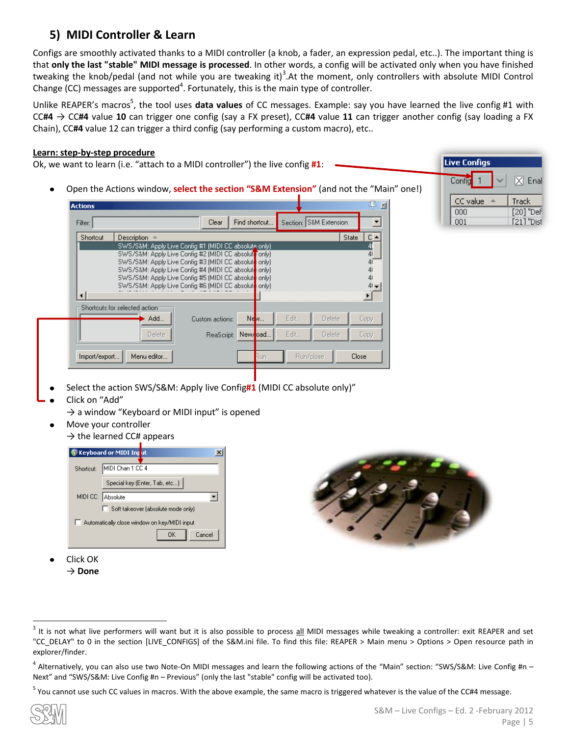# <span id="page-4-0"></span>**5) MIDI Controller & Learn**

Configs are smoothly activated thanks to a MIDI controller (a knob, a fader, an expression pedal, etc..). The important thing is that **only the last "stable" MIDI message is processed**. In other words, a config will be activated only when you have finished tweaking the knob/pedal (and not while you are tweaking it)<sup>3</sup>. At the moment, only controllers with absolute MIDI Control Change (CC) messages are supported<sup>4</sup>. Fortunately, this is the main type of controller.

Unlike REAPER's macros<sup>5</sup>, the tool uses data values of CC messages. Example: say you have learned the live config #1 with CC**#4** → CC**#4** value **10** can trigger one config (say a FX preset), CC**#4** value **11** can trigger another config (say loading a FX Chain), CC**#4** value 12 can trigger a third config (say performing a custom macro), etc..

### **Learn: step-by-step procedure**

Ok, we want to learn (i.e. "attach to a MIDI controller") the live config **#1**:

Open the Actions window, **select the section "S&M Extension"** (and not the "Main" one!)

| Filter:  |                                                                                                                | Clear           | Find shortcut      |      | Section: S&M Extension |              |
|----------|----------------------------------------------------------------------------------------------------------------|-----------------|--------------------|------|------------------------|--------------|
| Shortcut | Description                                                                                                    |                 |                    |      |                        | State        |
|          | SWS/S&M: Apply Live Config #1 (MIDI CC absolute only)                                                          |                 |                    |      |                        |              |
|          | SWS/S&M: Apply Live Config #2 [MIDI CC absolute only]                                                          |                 |                    |      |                        |              |
|          | SWS/S&M: Apply Live Config #3 [MIDI CC absolute only]<br>SWS/S&M: Apply Live Config #4 (MIDI CC absolute only) |                 |                    |      |                        |              |
|          | SWS/S&M: Apply Live Config #5 (MIDI CC absolute only)                                                          |                 |                    |      |                        |              |
|          | SWS/S&M: Apply Live Config #6 (MIDI CC absolute only)                                                          |                 |                    |      |                        |              |
|          |                                                                                                                |                 |                    |      |                        |              |
|          |                                                                                                                |                 |                    |      |                        |              |
|          | Shortcuts for selected action:                                                                                 |                 |                    |      |                        |              |
|          | Add                                                                                                            | Custom actions: | $Ne$ <sub>N</sub>  | Edit | Delete.                |              |
|          | Delete                                                                                                         |                 | ReaScript: New/oad | Edit | Delete                 | Copy<br>Copy |



- Select the action SWS/S&M: Apply live Config**#1** (MIDI CC absolute only)"
- Click on "Add"
	- $\rightarrow$  a window "Keyboard or MIDI input" is opened
	- Move your controller
		- $\rightarrow$  the learned CC# appears





Click OK → **Done**



<sup>4</sup> Alternatively, you can also use two Note-On MIDI messages and learn the following actions of the "Main" section: "SWS/S&M: Live Config #n – Next" and "SWS/S&M: Live Config #n – Previous" (only the last "stable" config will be activated too).

<sup>5</sup> You cannot use such CC values in macros. With the above example, the same macro is triggered whatever is the value of the CC#4 message.